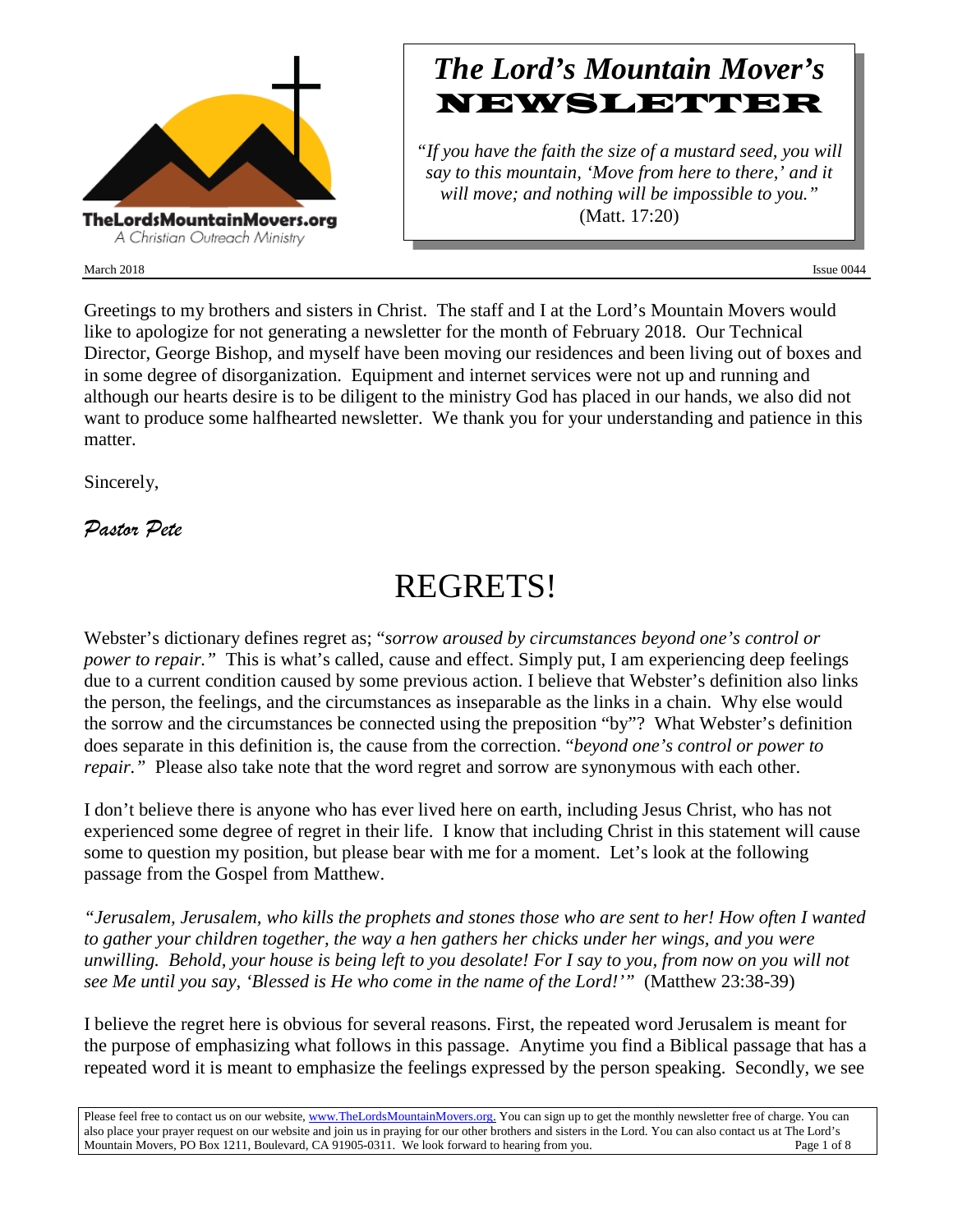

March 2018 **Issue 0044** Issue 0044

## *The Lord's Mountain Mover's* **NEWSLETTER**

*"If you have the faith the size of a mustard seed, you will say to this mountain, 'Move from here to there,' and it will move; and nothing will be impossible to you."* (Matt. 17:20)

Greetings to my brothers and sisters in Christ. The staff and I at the Lord's Mountain Movers would like to apologize for not generating a newsletter for the month of February 2018. Our Technical Director, George Bishop, and myself have been moving our residences and been living out of boxes and in some degree of disorganization. Equipment and internet services were not up and running and although our hearts desire is to be diligent to the ministry God has placed in our hands, we also did not want to produce some halfhearted newsletter. We thank you for your understanding and patience in this matter.

Sincerely,

*Pastor Pete*

# REGRETS!

Webster's dictionary defines regret as; "*sorrow aroused by circumstances beyond one's control or power to repair.*" This is what's called, cause and effect. Simply put, I am experiencing deep feelings due to a current condition caused by some previous action. I believe that Webster's definition also links the person, the feelings, and the circumstances as inseparable as the links in a chain. Why else would the sorrow and the circumstances be connected using the preposition "by"? What Webster's definition does separate in this definition is, the cause from the correction. "*beyond one's control or power to repair."* Please also take note that the word regret and sorrow are synonymous with each other.

I don't believe there is anyone who has ever lived here on earth, including Jesus Christ, who has not experienced some degree of regret in their life. I know that including Christ in this statement will cause some to question my position, but please bear with me for a moment. Let's look at the following passage from the Gospel from Matthew.

*"Jerusalem, Jerusalem, who kills the prophets and stones those who are sent to her! How often I wanted to gather your children together, the way a hen gathers her chicks under her wings, and you were unwilling. Behold, your house is being left to you desolate! For I say to you, from now on you will not see Me until you say, 'Blessed is He who come in the name of the Lord!'"* (Matthew 23:38-39)

I believe the regret here is obvious for several reasons. First, the repeated word Jerusalem is meant for the purpose of emphasizing what follows in this passage. Anytime you find a Biblical passage that has a repeated word it is meant to emphasize the feelings expressed by the person speaking. Secondly, we see

Please feel free to contact us on our website, ww[w.TheLordsMountainMovers.o](http://www.thelordsmountainmovers.org/)rg. You can sign up to get the monthly newsletter free of charge. You can also place your prayer request on our website and join us in praying for our other brothers and sisters in the Lord. You can also contact us at The Lord's Mountain Movers, PO Box 1211, Boulevard, CA 91905-0311. We look forward to hearing from you. Page 1 of 8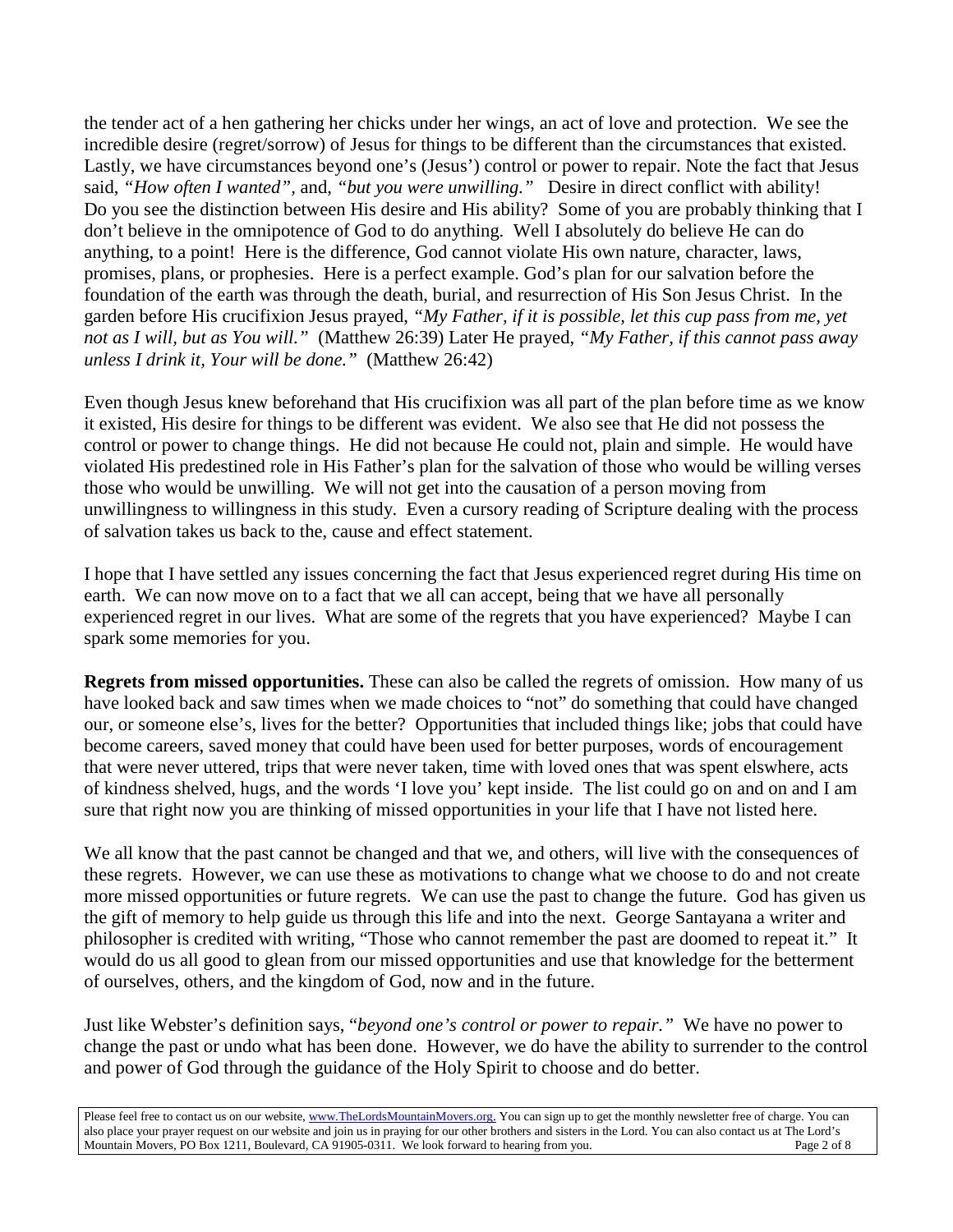the tender act of a hen gathering her chicks under her wings, an act of love and protection. We see the incredible desire (regret/sorrow) of Jesus for things to be different than the circumstances that existed. Lastly, we have circumstances beyond one's (Jesus') control or power to repair. Note the fact that Jesus said, *"How often I wanted",* and, *"but you were unwilling."* Desire in direct conflict with ability! Do you see the distinction between His desire and His ability? Some of you are probably thinking that I don't believe in the omnipotence of God to do anything. Well I absolutely do believe He can do anything, to a point! Here is the difference, God cannot violate His own nature, character, laws, promises, plans, or prophesies. Here is a perfect example. God's plan for our salvation before the foundation of the earth was through the death, burial, and resurrection of His Son Jesus Christ. In the garden before His crucifixion Jesus prayed, *"My Father, if it is possible, let this cup pass from me, yet not as I will, but as You will."* (Matthew 26:39) Later He prayed, *"My Father, if this cannot pass away unless I drink it, Your will be done."* (Matthew 26:42)

Even though Jesus knew beforehand that His crucifixion was all part of the plan before time as we know it existed, His desire for things to be different was evident. We also see that He did not possess the control or power to change things. He did not because He could not, plain and simple. He would have violated His predestined role in His Father's plan for the salvation of those who would be willing verses those who would be unwilling. We will not get into the causation of a person moving from unwillingness to willingness in this study. Even a cursory reading of Scripture dealing with the process of salvation takes us back to the, cause and effect statement.

I hope that I have settled any issues concerning the fact that Jesus experienced regret during His time on earth. We can now move on to a fact that we all can accept, being that we have all personally experienced regret in our lives. What are some of the regrets that you have experienced? Maybe I can spark some memories for you.

**Regrets from missed opportunities.** These can also be called the regrets of omission. How many of us have looked back and saw times when we made choices to "not" do something that could have changed our, or someone else's, lives for the better? Opportunities that included things like; jobs that could have become careers, saved money that could have been used for better purposes, words of encouragement that were never uttered, trips that were never taken, time with loved ones that was spent elswhere, acts of kindness shelved, hugs, and the words 'I love you' kept inside. The list could go on and on and I am sure that right now you are thinking of missed opportunities in your life that I have not listed here.

We all know that the past cannot be changed and that we, and others, will live with the consequences of these regrets. However, we can use these as motivations to change what we choose to do and not create more missed opportunities or future regrets. We can use the past to change the future. God has given us the gift of memory to help guide us through this life and into the next. George Santayana a writer and philosopher is credited with writing, "Those who cannot remember the past are doomed to repeat it." It would do us all good to glean from our missed opportunities and use that knowledge for the betterment of ourselves, others, and the kingdom of God, now and in the future.

Just like Webster's definition says, "*beyond one's control or power to repair."* We have no power to change the past or undo what has been done. However, we do have the ability to surrender to the control and power of God through the guidance of the Holy Spirit to choose and do better.

Please feel free to contact us on our website, ww[w.TheLordsMountainMovers.o](http://www.thelordsmountainmovers.org/)rg. You can sign up to get the monthly newsletter free of charge. You can also place your prayer request on our website and join us in praying for our other brothers and sisters in the Lord. You can also contact us at The Lord's Mountain Movers, PO Box 1211, Boulevard, CA 91905-0311. We look forward to hearing from you.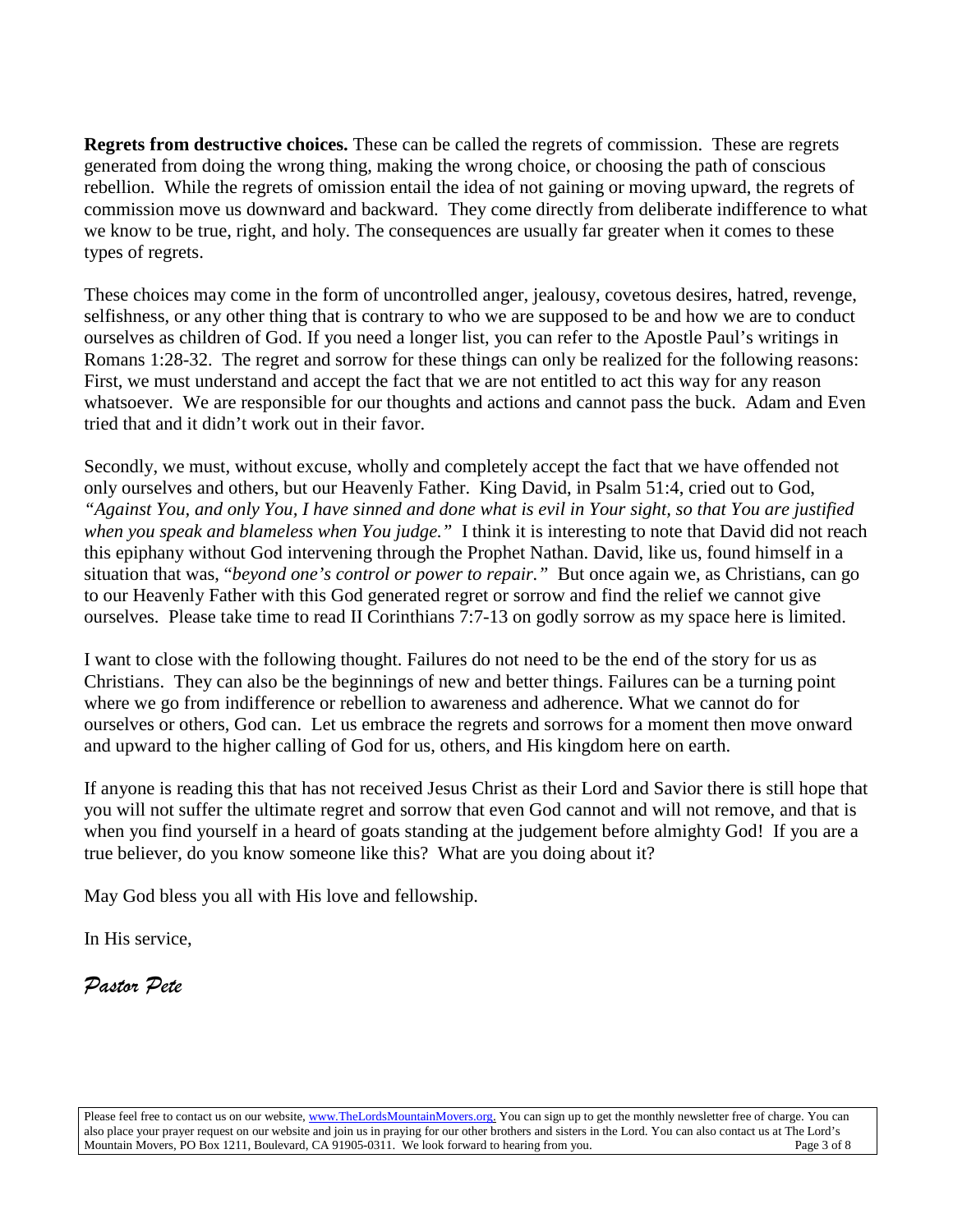**Regrets from destructive choices.** These can be called the regrets of commission. These are regrets generated from doing the wrong thing, making the wrong choice, or choosing the path of conscious rebellion. While the regrets of omission entail the idea of not gaining or moving upward, the regrets of commission move us downward and backward. They come directly from deliberate indifference to what we know to be true, right, and holy. The consequences are usually far greater when it comes to these types of regrets.

These choices may come in the form of uncontrolled anger, jealousy, covetous desires, hatred, revenge, selfishness, or any other thing that is contrary to who we are supposed to be and how we are to conduct ourselves as children of God. If you need a longer list, you can refer to the Apostle Paul's writings in Romans 1:28-32. The regret and sorrow for these things can only be realized for the following reasons: First, we must understand and accept the fact that we are not entitled to act this way for any reason whatsoever. We are responsible for our thoughts and actions and cannot pass the buck. Adam and Even tried that and it didn't work out in their favor.

Secondly, we must, without excuse, wholly and completely accept the fact that we have offended not only ourselves and others, but our Heavenly Father. King David, in Psalm 51:4, cried out to God, *"Against You, and only You, I have sinned and done what is evil in Your sight, so that You are justified when you speak and blameless when You judge."* I think it is interesting to note that David did not reach this epiphany without God intervening through the Prophet Nathan. David, like us, found himself in a situation that was, "*beyond one's control or power to repair."* But once again we, as Christians, can go to our Heavenly Father with this God generated regret or sorrow and find the relief we cannot give ourselves. Please take time to read II Corinthians 7:7-13 on godly sorrow as my space here is limited.

I want to close with the following thought. Failures do not need to be the end of the story for us as Christians. They can also be the beginnings of new and better things. Failures can be a turning point where we go from indifference or rebellion to awareness and adherence. What we cannot do for ourselves or others, God can. Let us embrace the regrets and sorrows for a moment then move onward and upward to the higher calling of God for us, others, and His kingdom here on earth.

If anyone is reading this that has not received Jesus Christ as their Lord and Savior there is still hope that you will not suffer the ultimate regret and sorrow that even God cannot and will not remove, and that is when you find yourself in a heard of goats standing at the judgement before almighty God! If you are a true believer, do you know someone like this? What are you doing about it?

May God bless you all with His love and fellowship.

In His service,

*Pastor Pete*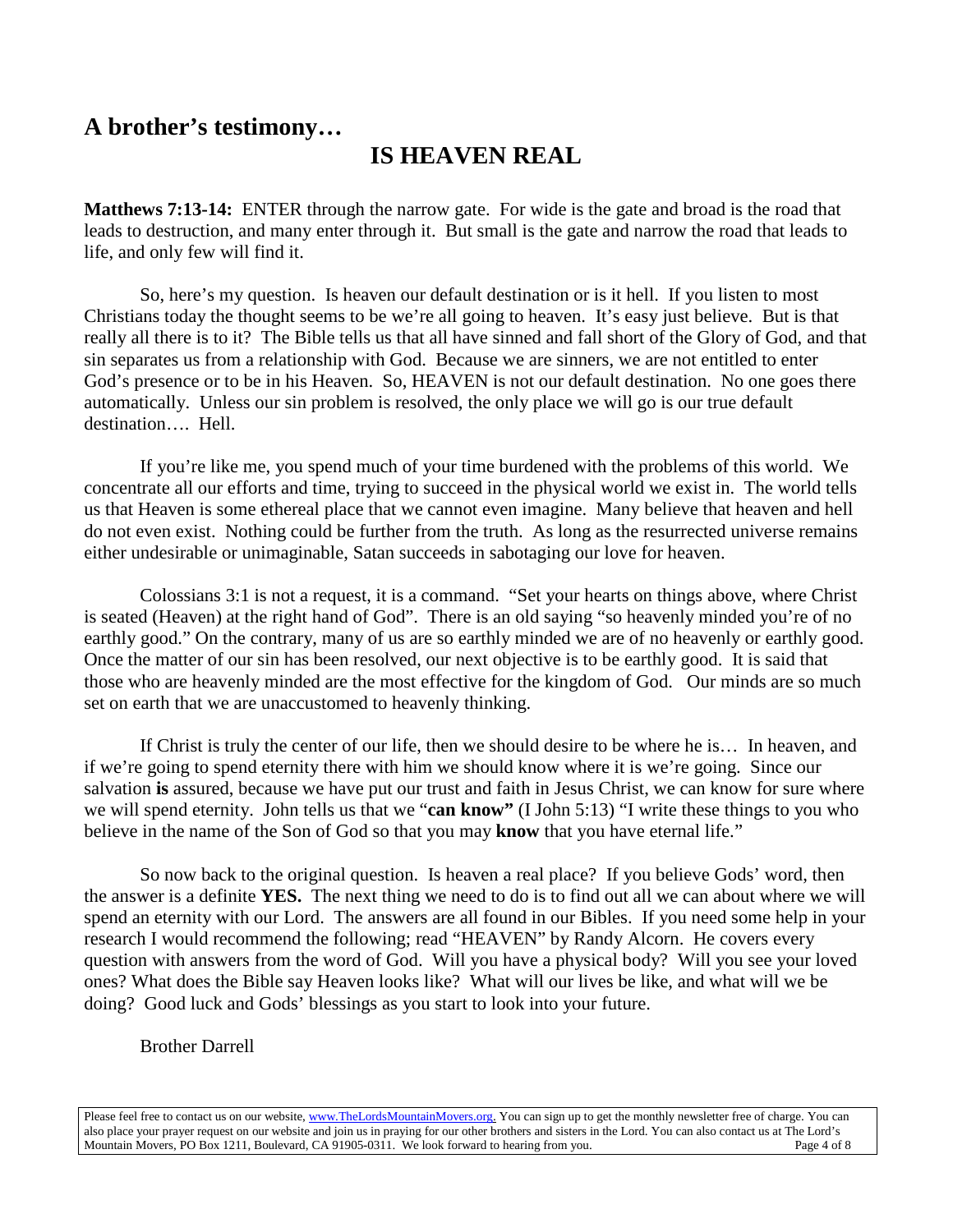### **A brother's testimony…**

### **IS HEAVEN REAL**

**Matthews 7:13-14:** ENTER through the narrow gate. For wide is the gate and broad is the road that leads to destruction, and many enter through it. But small is the gate and narrow the road that leads to life, and only few will find it.

So, here's my question. Is heaven our default destination or is it hell. If you listen to most Christians today the thought seems to be we're all going to heaven. It's easy just believe. But is that really all there is to it? The Bible tells us that all have sinned and fall short of the Glory of God, and that sin separates us from a relationship with God. Because we are sinners, we are not entitled to enter God's presence or to be in his Heaven. So, HEAVEN is not our default destination. No one goes there automatically. Unless our sin problem is resolved, the only place we will go is our true default destination…. Hell.

If you're like me, you spend much of your time burdened with the problems of this world. We concentrate all our efforts and time, trying to succeed in the physical world we exist in. The world tells us that Heaven is some ethereal place that we cannot even imagine. Many believe that heaven and hell do not even exist. Nothing could be further from the truth. As long as the resurrected universe remains either undesirable or unimaginable, Satan succeeds in sabotaging our love for heaven.

Colossians 3:1 is not a request, it is a command. "Set your hearts on things above, where Christ is seated (Heaven) at the right hand of God". There is an old saying "so heavenly minded you're of no earthly good." On the contrary, many of us are so earthly minded we are of no heavenly or earthly good. Once the matter of our sin has been resolved, our next objective is to be earthly good. It is said that those who are heavenly minded are the most effective for the kingdom of God. Our minds are so much set on earth that we are unaccustomed to heavenly thinking.

If Christ is truly the center of our life, then we should desire to be where he is… In heaven, and if we're going to spend eternity there with him we should know where it is we're going. Since our salvation **is** assured, because we have put our trust and faith in Jesus Christ, we can know for sure where we will spend eternity. John tells us that we "**can know"** (I John 5:13) "I write these things to you who believe in the name of the Son of God so that you may **know** that you have eternal life."

So now back to the original question. Is heaven a real place? If you believe Gods' word, then the answer is a definite **YES.** The next thing we need to do is to find out all we can about where we will spend an eternity with our Lord. The answers are all found in our Bibles. If you need some help in your research I would recommend the following; read "HEAVEN" by Randy Alcorn. He covers every question with answers from the word of God. Will you have a physical body? Will you see your loved ones? What does the Bible say Heaven looks like? What will our lives be like, and what will we be doing? Good luck and Gods' blessings as you start to look into your future.

#### Brother Darrell

Please feel free to contact us on our website, ww[w.TheLordsMountainMovers.o](http://www.thelordsmountainmovers.org/)rg. You can sign up to get the monthly newsletter free of charge. You can also place your prayer request on our website and join us in praying for our other brothers and sisters in the Lord. You can also contact us at The Lord's Mountain Movers, PO Box 1211, Boulevard, CA 91905-0311. We look forward to hearing from you.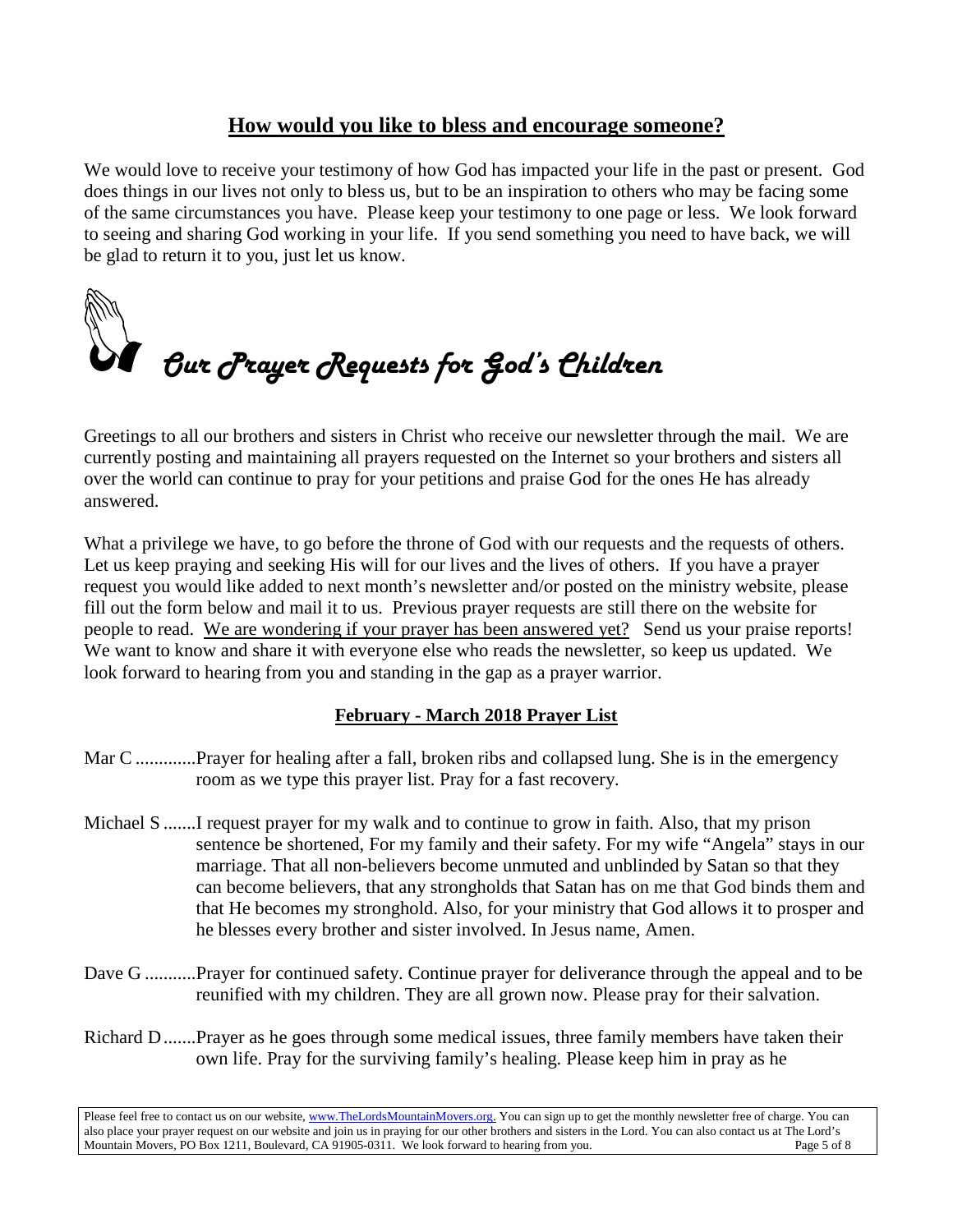### **How would you like to bless and encourage someone?**

We would love to receive your testimony of how God has impacted your life in the past or present. God does things in our lives not only to bless us, but to be an inspiration to others who may be facing some of the same circumstances you have. Please keep your testimony to one page or less. We look forward to seeing and sharing God working in your life. If you send something you need to have back, we will be glad to return it to you, just let us know.



Greetings to all our brothers and sisters in Christ who receive our newsletter through the mail. We are currently posting and maintaining all prayers requested on the Internet so your brothers and sisters all over the world can continue to pray for your petitions and praise God for the ones He has already answered.

What a privilege we have, to go before the throne of God with our requests and the requests of others. Let us keep praying and seeking His will for our lives and the lives of others. If you have a prayer request you would like added to next month's newsletter and/or posted on the ministry website, please fill out the form below and mail it to us. Previous prayer requests are still there on the website for people to read. We are wondering if your prayer has been answered yet? Send us your praise reports! We want to know and share it with everyone else who reads the newsletter, so keep us updated. We look forward to hearing from you and standing in the gap as a prayer warrior.

#### **February - March 2018 Prayer List**

- Mar C .............Prayer for healing after a fall, broken ribs and collapsed lung. She is in the emergency room as we type this prayer list. Pray for a fast recovery.
- Michael S .......I request prayer for my walk and to continue to grow in faith. Also, that my prison sentence be shortened, For my family and their safety. For my wife "Angela" stays in our marriage. That all non-believers become unmuted and unblinded by Satan so that they can become believers, that any strongholds that Satan has on me that God binds them and that He becomes my stronghold. Also, for your ministry that God allows it to prosper and he blesses every brother and sister involved. In Jesus name, Amen.
- Dave G ...........Prayer for continued safety. Continue prayer for deliverance through the appeal and to be reunified with my children. They are all grown now. Please pray for their salvation.
- Richard D.......Prayer as he goes through some medical issues, three family members have taken their own life. Pray for the surviving family's healing. Please keep him in pray as he

Please feel free to contact us on our website, ww[w.TheLordsMountainMovers.o](http://www.thelordsmountainmovers.org/)rg. You can sign up to get the monthly newsletter free of charge. You can also place your prayer request on our website and join us in praying for our other brothers and sisters in the Lord. You can also contact us at The Lord's Mountain Movers, PO Box 1211, Boulevard, CA 91905-0311. We look forward to hearing from you.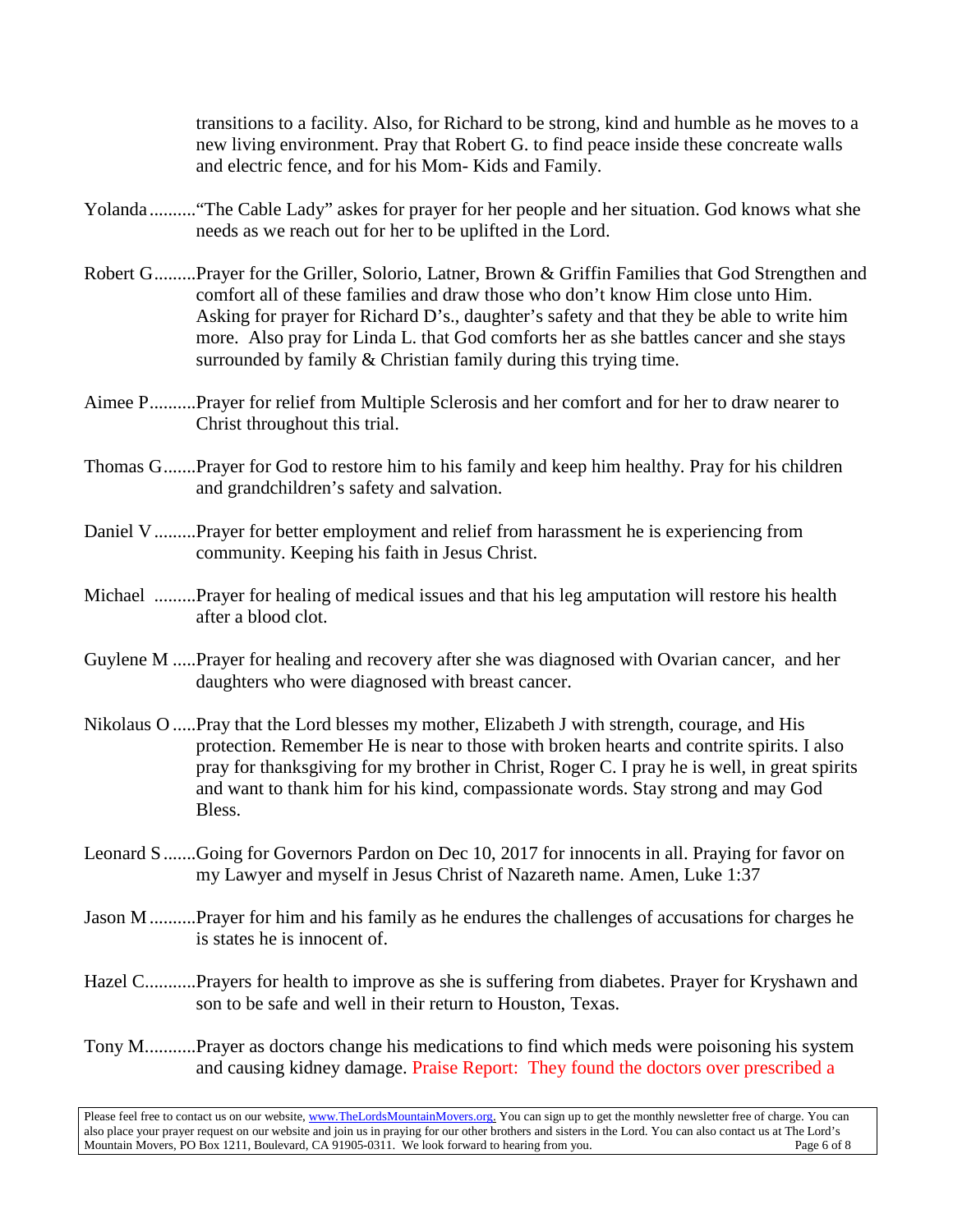transitions to a facility. Also, for Richard to be strong, kind and humble as he moves to a new living environment. Pray that Robert G. to find peace inside these concreate walls and electric fence, and for his Mom- Kids and Family.

- Yolanda .........."The Cable Lady" askes for prayer for her people and her situation. God knows what she needs as we reach out for her to be uplifted in the Lord.
- Robert G.........Prayer for the Griller, Solorio, Latner, Brown & Griffin Families that God Strengthen and comfort all of these families and draw those who don't know Him close unto Him. Asking for prayer for Richard D's., daughter's safety and that they be able to write him more. Also pray for Linda L. that God comforts her as she battles cancer and she stays surrounded by family & Christian family during this trying time.
- Aimee P..........Prayer for relief from Multiple Sclerosis and her comfort and for her to draw nearer to Christ throughout this trial.
- Thomas G.......Prayer for God to restore him to his family and keep him healthy. Pray for his children and grandchildren's safety and salvation.
- Daniel V.........Prayer for better employment and relief from harassment he is experiencing from community. Keeping his faith in Jesus Christ.
- Michael .........Prayer for healing of medical issues and that his leg amputation will restore his health after a blood clot.
- Guylene M .....Prayer for healing and recovery after she was diagnosed with Ovarian cancer, and her daughters who were diagnosed with breast cancer.
- Nikolaus O .....Pray that the Lord blesses my mother, Elizabeth J with strength, courage, and His protection. Remember He is near to those with broken hearts and contrite spirits. I also pray for thanksgiving for my brother in Christ, Roger C. I pray he is well, in great spirits and want to thank him for his kind, compassionate words. Stay strong and may God Bless.
- Leonard S.......Going for Governors Pardon on Dec 10, 2017 for innocents in all. Praying for favor on my Lawyer and myself in Jesus Christ of Nazareth name. Amen, Luke 1:37
- Jason M..........Prayer for him and his family as he endures the challenges of accusations for charges he is states he is innocent of.
- Hazel C...........Prayers for health to improve as she is suffering from diabetes. Prayer for Kryshawn and son to be safe and well in their return to Houston, Texas.
- Tony M...........Prayer as doctors change his medications to find which meds were poisoning his system and causing kidney damage. Praise Report: They found the doctors over prescribed a

Please feel free to contact us on our website, ww[w.TheLordsMountainMovers.o](http://www.thelordsmountainmovers.org/)rg. You can sign up to get the monthly newsletter free of charge. You can also place your prayer request on our website and join us in praying for our other brothers and sisters in the Lord. You can also contact us at The Lord's Mountain Movers, PO Box 1211, Boulevard, CA 91905-0311. We look forward to hearing from you.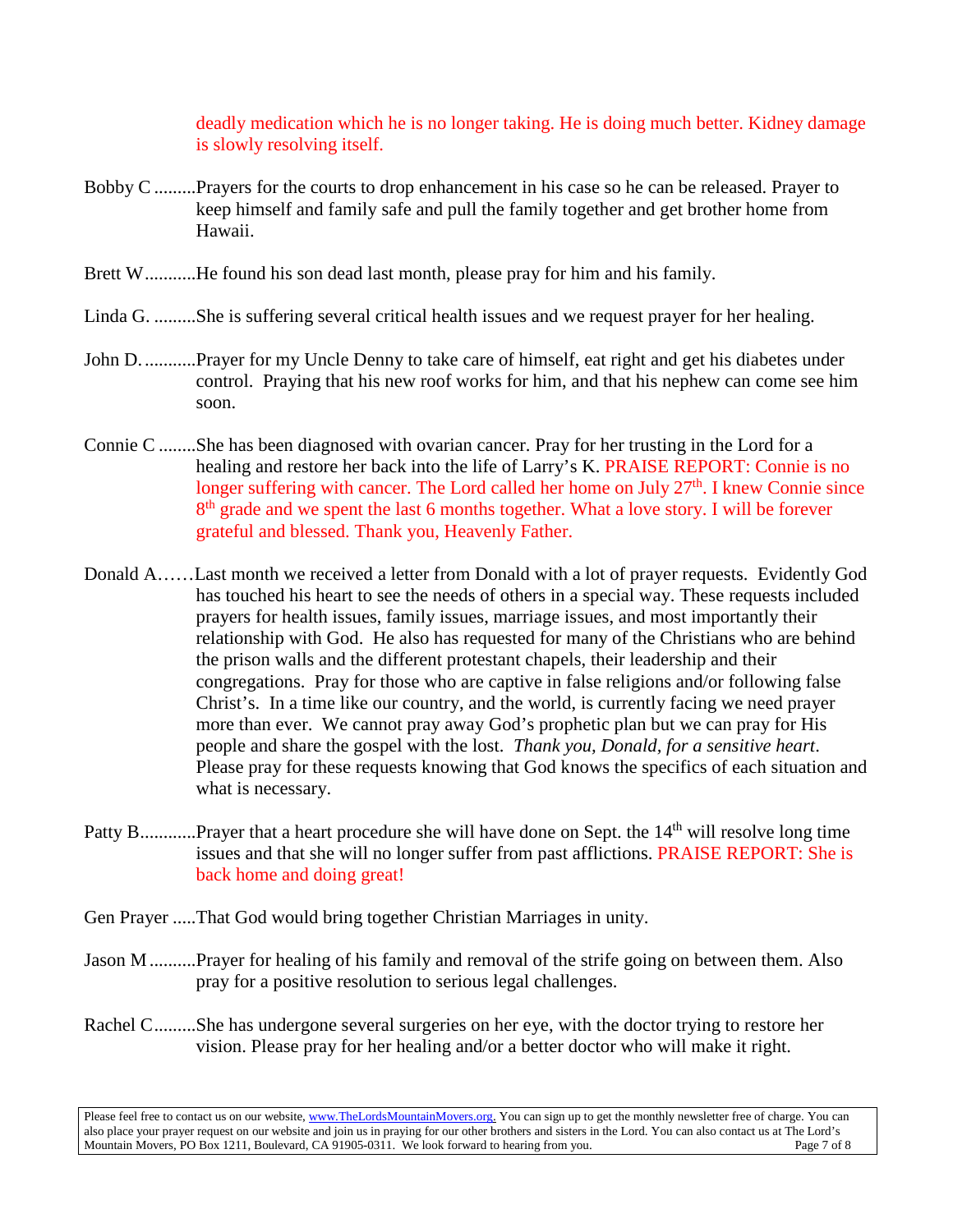deadly medication which he is no longer taking. He is doing much better. Kidney damage is slowly resolving itself.

- Bobby C .........Prayers for the courts to drop enhancement in his case so he can be released. Prayer to keep himself and family safe and pull the family together and get brother home from Hawaii.
- Brett W...........He found his son dead last month, please pray for him and his family.
- Linda G. .........She is suffering several critical health issues and we request prayer for her healing.
- John D. ...........Prayer for my Uncle Denny to take care of himself, eat right and get his diabetes under control. Praying that his new roof works for him, and that his nephew can come see him soon.
- Connie C ........She has been diagnosed with ovarian cancer. Pray for her trusting in the Lord for a healing and restore her back into the life of Larry's K. PRAISE REPORT: Connie is no longer suffering with cancer. The Lord called her home on July  $27<sup>th</sup>$ . I knew Connie since 8<sup>th</sup> grade and we spent the last 6 months together. What a love story. I will be forever grateful and blessed. Thank you, Heavenly Father.
- Donald A……Last month we received a letter from Donald with a lot of prayer requests. Evidently God has touched his heart to see the needs of others in a special way. These requests included prayers for health issues, family issues, marriage issues, and most importantly their relationship with God. He also has requested for many of the Christians who are behind the prison walls and the different protestant chapels, their leadership and their congregations. Pray for those who are captive in false religions and/or following false Christ's. In a time like our country, and the world, is currently facing we need prayer more than ever. We cannot pray away God's prophetic plan but we can pray for His people and share the gospel with the lost. *Thank you, Donald, for a sensitive heart*. Please pray for these requests knowing that God knows the specifics of each situation and what is necessary.
- Patty B.............Prayer that a heart procedure she will have done on Sept. the 14<sup>th</sup> will resolve long time issues and that she will no longer suffer from past afflictions. PRAISE REPORT: She is back home and doing great!
- Gen Prayer .....That God would bring together Christian Marriages in unity.
- Jason M..........Prayer for healing of his family and removal of the strife going on between them. Also pray for a positive resolution to serious legal challenges.
- Rachel C.........She has undergone several surgeries on her eye, with the doctor trying to restore her vision. Please pray for her healing and/or a better doctor who will make it right.

Please feel free to contact us on our website, ww[w.TheLordsMountainMovers.o](http://www.thelordsmountainmovers.org/)rg. You can sign up to get the monthly newsletter free of charge. You can also place your prayer request on our website and join us in praying for our other brothers and sisters in the Lord. You can also contact us at The Lord's Mountain Movers, PO Box 1211, Boulevard, CA 91905-0311. We look forward to hearing from you.